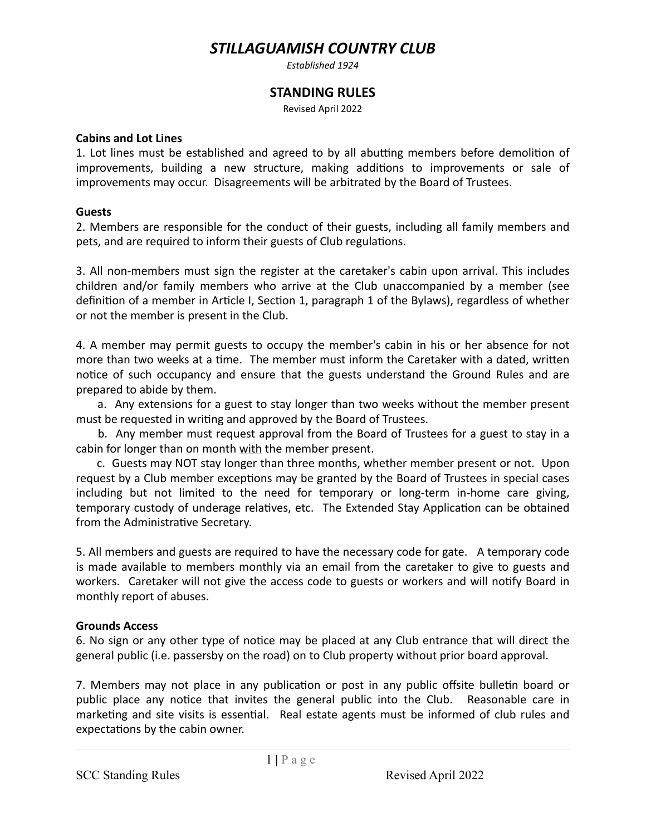# *STILLAGUAMISH COUNTRY CLUB*

*Established 1924*

## **STANDING RULES**

Revised April 2022

#### **Cabins and Lot Lines**

1. Lot lines must be established and agreed to by all abutting members before demolition of improvements, building a new structure, making additions to improvements or sale of improvements may occur. Disagreements will be arbitrated by the Board of Trustees.

#### **Guests**

2. Members are responsible for the conduct of their guests, including all family members and pets, and are required to inform their guests of Club regulations.

3. All non-members must sign the register at the caretaker's cabin upon arrival. This includes children and/or family members who arrive at the Club unaccompanied by a member (see definition of a member in Article I, Section 1, paragraph 1 of the Bylaws), regardless of whether or not the member is present in the Club.

4. A member may permit guests to occupy the member's cabin in his or her absence for not more than two weeks at a time. The member must inform the Caretaker with a dated, written notice of such occupancy and ensure that the guests understand the Ground Rules and are prepared to abide by them.

a. Any extensions for a guest to stay longer than two weeks without the member present must be requested in writing and approved by the Board of Trustees.

b. Any member must request approval from the Board of Trustees for a guest to stay in a cabin for longer than on month with the member present.

c. Guests may NOT stay longer than three months, whether member present or not. Upon request by a Club member exceptions may be granted by the Board of Trustees in special cases including but not limited to the need for temporary or long-term in-home care giving, temporary custody of underage relatives, etc. The Extended Stay Application can be obtained from the Administrative Secretary.

5. All members and guests are required to have the necessary code for gate. A temporary code is made available to members monthly via an email from the caretaker to give to guests and workers. Caretaker will not give the access code to guests or workers and will notify Board in monthly report of abuses.

## **Grounds Access**

6. No sign or any other type of notice may be placed at any Club entrance that will direct the general public (i.e. passersby on the road) on to Club property without prior board approval.

7. Members may not place in any publication or post in any public offsite bulletin board or public place any notice that invites the general public into the Club. Reasonable care in marketing and site visits is essential. Real estate agents must be informed of club rules and expectations by the cabin owner.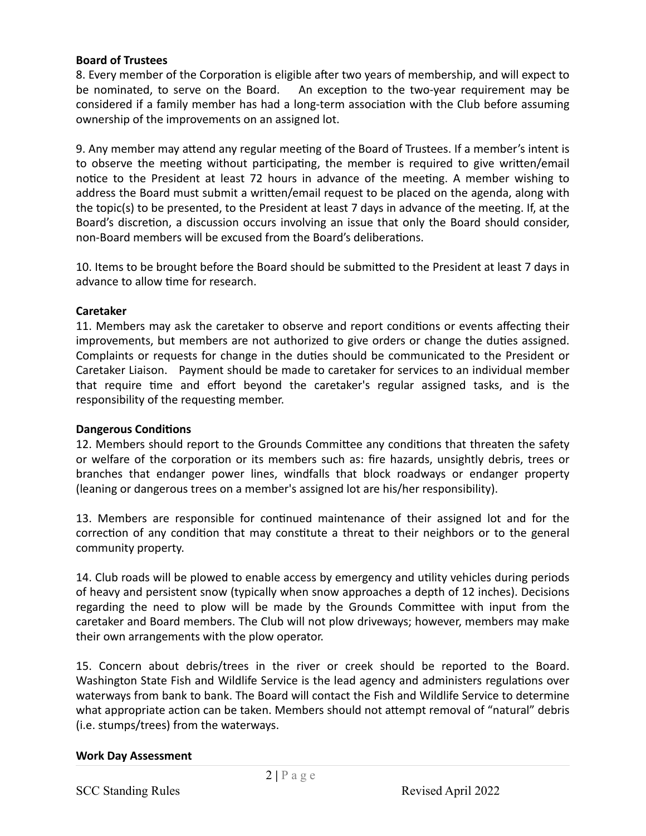#### **Board of Trustees**

8. Every member of the Corporation is eligible after two years of membership, and will expect to be nominated, to serve on the Board. An exception to the two-year requirement may be considered if a family member has had a long-term association with the Club before assuming ownership of the improvements on an assigned lot.

9. Any member may attend any regular meeting of the Board of Trustees. If a member's intent is to observe the meeting without participating, the member is required to give written/email notice to the President at least 72 hours in advance of the meeting. A member wishing to address the Board must submit a written/email request to be placed on the agenda, along with the topic(s) to be presented, to the President at least 7 days in advance of the meeting. If, at the Board's discretion, a discussion occurs involving an issue that only the Board should consider, non-Board members will be excused from the Board's deliberations.

10. Items to be brought before the Board should be submitted to the President at least 7 days in advance to allow time for research.

#### **Caretaker**

11. Members may ask the caretaker to observe and report conditions or events affecting their improvements, but members are not authorized to give orders or change the duties assigned. Complaints or requests for change in the duties should be communicated to the President or Caretaker Liaison. Payment should be made to caretaker for services to an individual member that require time and effort beyond the caretaker's regular assigned tasks, and is the responsibility of the requesting member.

#### **Dangerous Conditions**

12. Members should report to the Grounds Committee any conditions that threaten the safety or welfare of the corporation or its members such as: fire hazards, unsightly debris, trees or branches that endanger power lines, windfalls that block roadways or endanger property (leaning or dangerous trees on a member's assigned lot are his/her responsibility).

13. Members are responsible for continued maintenance of their assigned lot and for the correction of any condition that may constitute a threat to their neighbors or to the general community property.

14. Club roads will be plowed to enable access by emergency and utility vehicles during periods of heavy and persistent snow (typically when snow approaches a depth of 12 inches). Decisions regarding the need to plow will be made by the Grounds Committee with input from the caretaker and Board members. The Club will not plow driveways; however, members may make their own arrangements with the plow operator.

15. Concern about debris/trees in the river or creek should be reported to the Board. Washington State Fish and Wildlife Service is the lead agency and administers regulations over waterways from bank to bank. The Board will contact the Fish and Wildlife Service to determine what appropriate action can be taken. Members should not attempt removal of "natural" debris (i.e. stumps/trees) from the waterways.

#### **Work Day Assessment**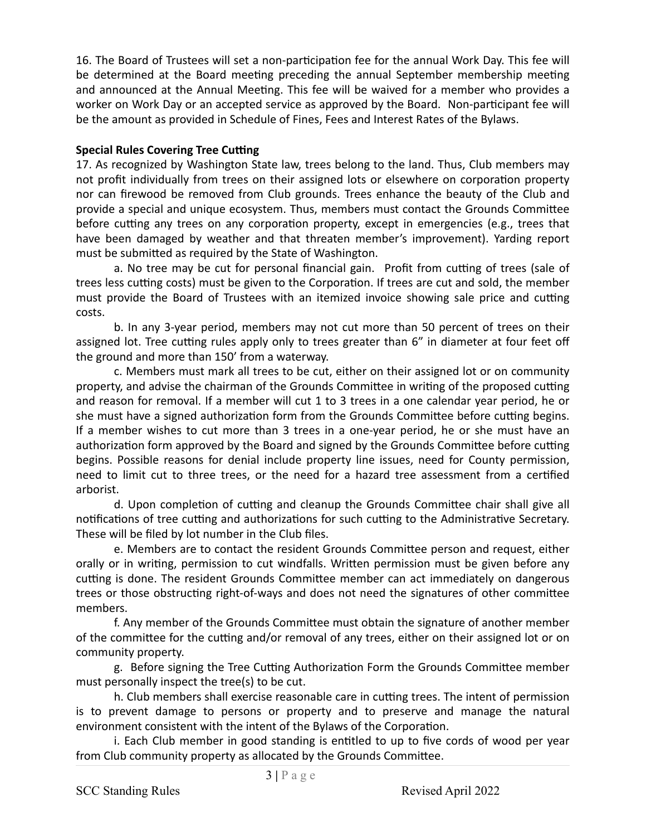16. The Board of Trustees will set a non-participation fee for the annual Work Day. This fee will be determined at the Board meeting preceding the annual September membership meeting and announced at the Annual Meeting. This fee will be waived for a member who provides a worker on Work Day or an accepted service as approved by the Board. Non-participant fee will be the amount as provided in Schedule of Fines, Fees and Interest Rates of the Bylaws.

## **Special Rules Covering Tree Cutting**

17. As recognized by Washington State law, trees belong to the land. Thus, Club members may not profit individually from trees on their assigned lots or elsewhere on corporation property nor can firewood be removed from Club grounds. Trees enhance the beauty of the Club and provide a special and unique ecosystem. Thus, members must contact the Grounds Committee before cutting any trees on any corporation property, except in emergencies (e.g., trees that have been damaged by weather and that threaten member's improvement). Yarding report must be submitted as required by the State of Washington.

a. No tree may be cut for personal financial gain. Profit from cutting of trees (sale of trees less cutting costs) must be given to the Corporation. If trees are cut and sold, the member must provide the Board of Trustees with an itemized invoice showing sale price and cutting costs.

b. In any 3-year period, members may not cut more than 50 percent of trees on their assigned lot. Tree cutting rules apply only to trees greater than 6" in diameter at four feet off the ground and more than 150' from a waterway.

c. Members must mark all trees to be cut, either on their assigned lot or on community property, and advise the chairman of the Grounds Committee in writing of the proposed cutting and reason for removal. If a member will cut 1 to 3 trees in a one calendar year period, he or she must have a signed authorization form from the Grounds Committee before cutting begins. If a member wishes to cut more than 3 trees in a one-year period, he or she must have an authorization form approved by the Board and signed by the Grounds Committee before cutting begins. Possible reasons for denial include property line issues, need for County permission, need to limit cut to three trees, or the need for a hazard tree assessment from a certified arborist. 

d. Upon completion of cutting and cleanup the Grounds Committee chair shall give all notifications of tree cutting and authorizations for such cutting to the Administrative Secretary. These will be filed by lot number in the Club files.

e. Members are to contact the resident Grounds Committee person and request, either orally or in writing, permission to cut windfalls. Written permission must be given before any cutting is done. The resident Grounds Committee member can act immediately on dangerous trees or those obstructing right-of-ways and does not need the signatures of other committee members. 

f. Any member of the Grounds Committee must obtain the signature of another member of the committee for the cutting and/or removal of any trees, either on their assigned lot or on community property.

g. Before signing the Tree Cutting Authorization Form the Grounds Committee member must personally inspect the tree(s) to be cut.

h. Club members shall exercise reasonable care in cutting trees. The intent of permission is to prevent damage to persons or property and to preserve and manage the natural environment consistent with the intent of the Bylaws of the Corporation.

i. Each Club member in good standing is entitled to up to five cords of wood per year from Club community property as allocated by the Grounds Committee.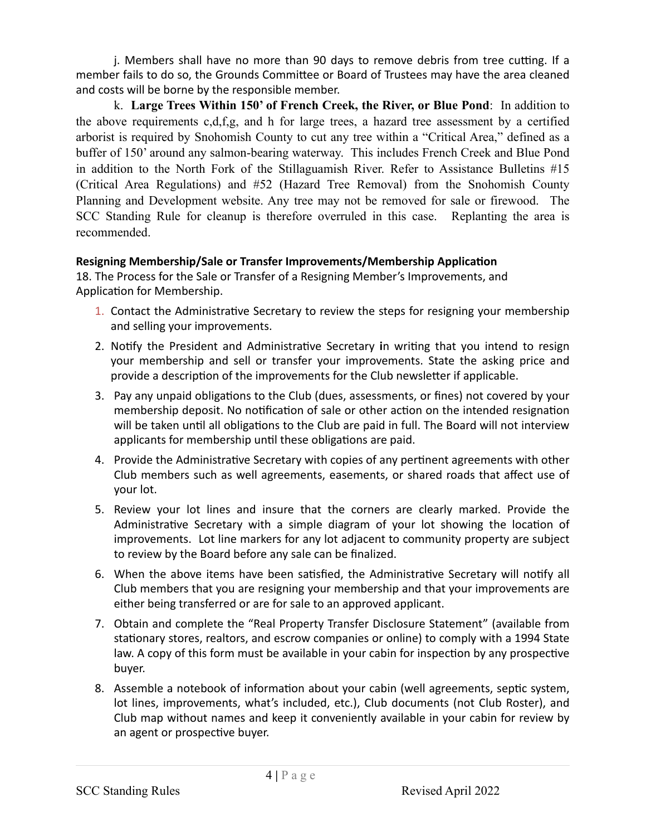j. Members shall have no more than 90 days to remove debris from tree cutting. If a member fails to do so, the Grounds Committee or Board of Trustees may have the area cleaned and costs will be borne by the responsible member.

k. **Large Trees Within 150' of French Creek, the River, or Blue Pond**: In addition to the above requirements c,d,f,g, and h for large trees, a hazard tree assessment by a certified arborist is required by Snohomish County to cut any tree within a "Critical Area," defined as a buffer of 150' around any salmon-bearing waterway. This includes French Creek and Blue Pond in addition to the North Fork of the Stillaguamish River. Refer to Assistance Bulletins #15 (Critical Area Regulations) and #52 (Hazard Tree Removal) from the Snohomish County Planning and Development website. Any tree may not be removed for sale or firewood. The SCC Standing Rule for cleanup is therefore overruled in this case. Replanting the area is recommended.

## **Resigning Membership/Sale or Transfer Improvements/Membership Application**

18. The Process for the Sale or Transfer of a Resigning Member's Improvements, and Application for Membership.

- 1. Contact the Administrative Secretary to review the steps for resigning your membership and selling your improvements.
- 2. Notify the President and Administrative Secretary in writing that you intend to resign your membership and sell or transfer your improvements. State the asking price and provide a description of the improvements for the Club newsletter if applicable.
- 3. Pay any unpaid obligations to the Club (dues, assessments, or fines) not covered by your membership deposit. No notification of sale or other action on the intended resignation will be taken until all obligations to the Club are paid in full. The Board will not interview applicants for membership until these obligations are paid.
- 4. Provide the Administrative Secretary with copies of any pertinent agreements with other Club members such as well agreements, easements, or shared roads that affect use of your lot.
- 5. Review your lot lines and insure that the corners are clearly marked. Provide the Administrative Secretary with a simple diagram of your lot showing the location of improvements. Lot line markers for any lot adjacent to community property are subject to review by the Board before any sale can be finalized.
- 6. When the above items have been satisfied, the Administrative Secretary will notify all Club members that you are resigning your membership and that your improvements are either being transferred or are for sale to an approved applicant.
- 7. Obtain and complete the "Real Property Transfer Disclosure Statement" (available from stationary stores, realtors, and escrow companies or online) to comply with a 1994 State law. A copy of this form must be available in your cabin for inspection by any prospective buyer.
- 8. Assemble a notebook of information about your cabin (well agreements, septic system, lot lines, improvements, what's included, etc.), Club documents (not Club Roster), and Club map without names and keep it conveniently available in your cabin for review by an agent or prospective buyer.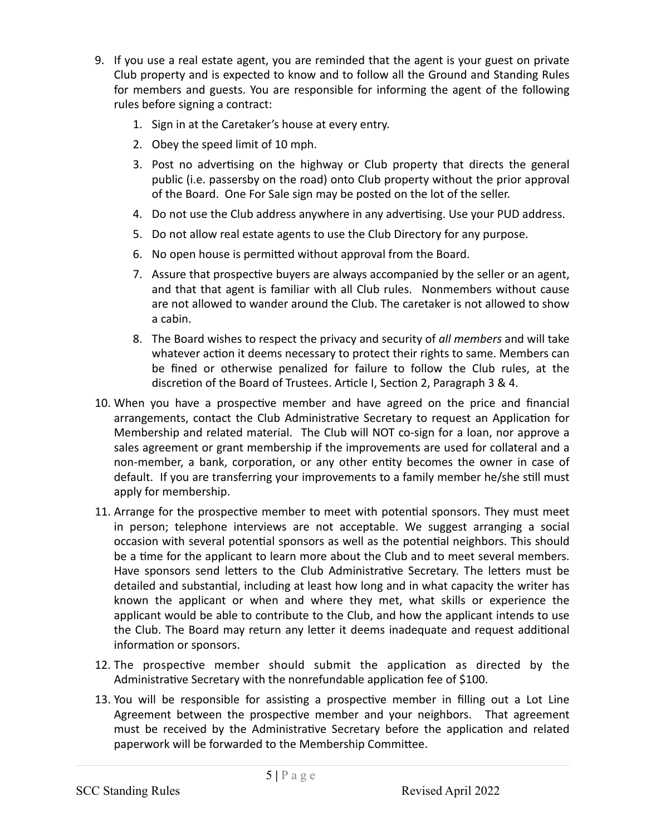- 9. If you use a real estate agent, you are reminded that the agent is your guest on private Club property and is expected to know and to follow all the Ground and Standing Rules for members and guests. You are responsible for informing the agent of the following rules before signing a contract:
	- 1. Sign in at the Caretaker's house at every entry.
	- 2. Obey the speed limit of 10 mph.
	- 3. Post no advertising on the highway or Club property that directs the general public (i.e. passersby on the road) onto Club property without the prior approval of the Board. One For Sale sign may be posted on the lot of the seller.
	- 4. Do not use the Club address anywhere in any advertising. Use your PUD address.
	- 5. Do not allow real estate agents to use the Club Directory for any purpose.
	- 6. No open house is permitted without approval from the Board.
	- 7. Assure that prospective buyers are always accompanied by the seller or an agent, and that that agent is familiar with all Club rules. Nonmembers without cause are not allowed to wander around the Club. The caretaker is not allowed to show a cabin.
	- 8. The Board wishes to respect the privacy and security of *all members* and will take whatever action it deems necessary to protect their rights to same. Members can be fined or otherwise penalized for failure to follow the Club rules, at the discretion of the Board of Trustees. Article I, Section 2, Paragraph 3 & 4.
- 10. When you have a prospective member and have agreed on the price and financial arrangements, contact the Club Administrative Secretary to request an Application for Membership and related material. The Club will NOT co-sign for a loan, nor approve a sales agreement or grant membership if the improvements are used for collateral and a non-member, a bank, corporation, or any other entity becomes the owner in case of default. If you are transferring your improvements to a family member he/she still must apply for membership.
- 11. Arrange for the prospective member to meet with potential sponsors. They must meet in person; telephone interviews are not acceptable. We suggest arranging a social occasion with several potential sponsors as well as the potential neighbors. This should be a time for the applicant to learn more about the Club and to meet several members. Have sponsors send letters to the Club Administrative Secretary. The letters must be detailed and substantial, including at least how long and in what capacity the writer has known the applicant or when and where they met, what skills or experience the applicant would be able to contribute to the Club, and how the applicant intends to use the Club. The Board may return any letter it deems inadequate and request additional information or sponsors.
- 12. The prospective member should submit the application as directed by the Administrative Secretary with the nonrefundable application fee of \$100.
- 13. You will be responsible for assisting a prospective member in filling out a Lot Line Agreement between the prospective member and your neighbors. That agreement must be received by the Administrative Secretary before the application and related paperwork will be forwarded to the Membership Committee.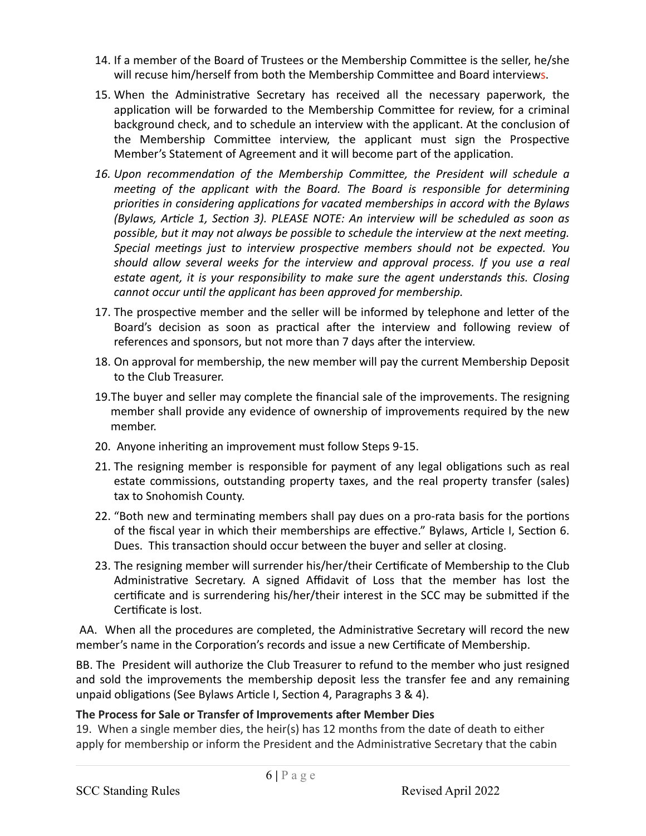- 14. If a member of the Board of Trustees or the Membership Committee is the seller, he/she will recuse him/herself from both the Membership Committee and Board interviews.
- 15. When the Administrative Secretary has received all the necessary paperwork, the application will be forwarded to the Membership Committee for review, for a criminal background check, and to schedule an interview with the applicant. At the conclusion of the Membership Committee interview, the applicant must sign the Prospective Member's Statement of Agreement and it will become part of the application.
- 16. Upon recommendation of the Membership Committee, the President will schedule a *meeting of the applicant with the Board. The Board is responsible for determining* priorities in considering applications for vacated memberships in accord with the Bylaws *(Bylaws, Article 1, Section 3). PLEASE NOTE: An interview will be scheduled as soon as* possible, but it may not always be possible to schedule the interview at the next meeting. Special meetings just to interview prospective members should not be expected. You *should allow several weeks for the interview and approval process. If you use a real estate agent, it is your responsibility to make sure the agent understands this. Closing cannot occur until the applicant has been approved for membership.*
- 17. The prospective member and the seller will be informed by telephone and letter of the Board's decision as soon as practical after the interview and following review of references and sponsors, but not more than 7 days after the interview.
- 18. On approval for membership, the new member will pay the current Membership Deposit to the Club Treasurer.
- 19. The buyer and seller may complete the financial sale of the improvements. The resigning member shall provide any evidence of ownership of improvements required by the new member.
- 20. Anyone inheriting an improvement must follow Steps 9-15.
- 21. The resigning member is responsible for payment of any legal obligations such as real estate commissions, outstanding property taxes, and the real property transfer (sales) tax to Snohomish County.
- 22. "Both new and terminating members shall pay dues on a pro-rata basis for the portions of the fiscal year in which their memberships are effective." Bylaws, Article I, Section 6. Dues. This transaction should occur between the buyer and seller at closing.
- 23. The resigning member will surrender his/her/their Certificate of Membership to the Club Administrative Secretary. A signed Affidavit of Loss that the member has lost the certificate and is surrendering his/her/their interest in the SCC may be submitted if the Certificate is lost.

AA. When all the procedures are completed, the Administrative Secretary will record the new member's name in the Corporation's records and issue a new Certificate of Membership.

BB. The President will authorize the Club Treasurer to refund to the member who just resigned and sold the improvements the membership deposit less the transfer fee and any remaining unpaid obligations (See Bylaws Article I, Section 4, Paragraphs 3 & 4).

## The Process for Sale or Transfer of Improvements after Member Dies

19. When a single member dies, the heir(s) has 12 months from the date of death to either apply for membership or inform the President and the Administrative Secretary that the cabin